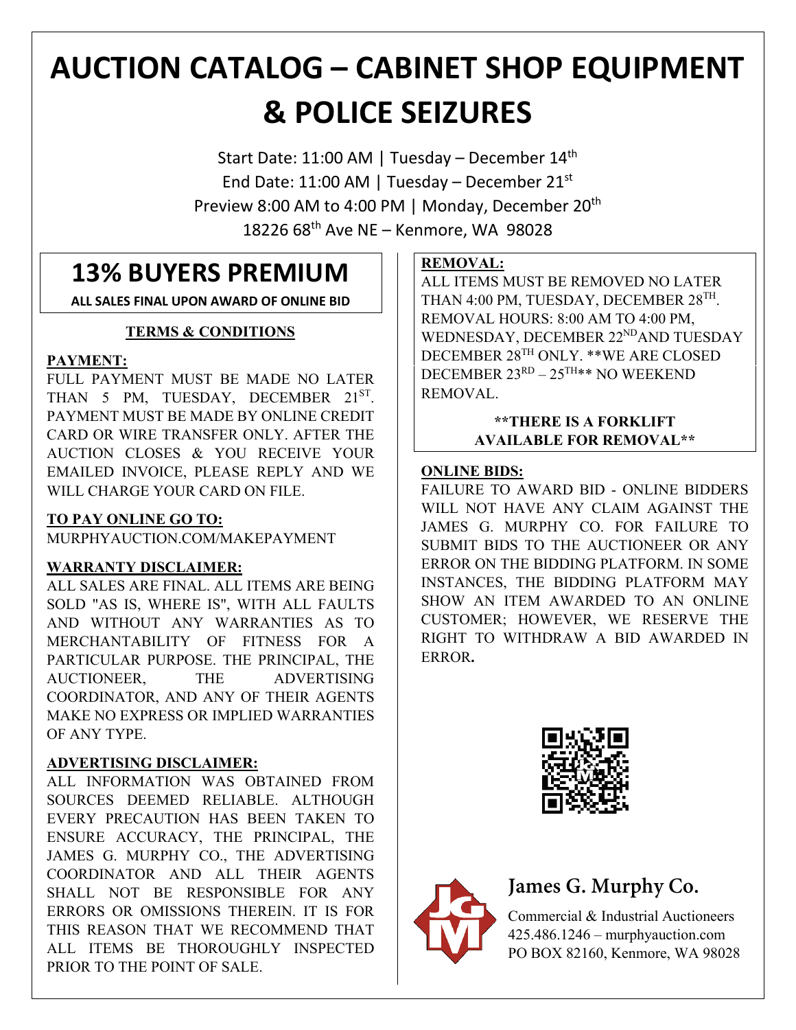# **AUCTION CATALOG – CABINET SHOP EQUIPMENT & POLICE SEIZURES**

Start Date: 11:00 AM | Tuesday – December 14<sup>th</sup> End Date: 11:00 AM | Tuesday – December 21st Preview 8:00 AM to 4:00 PM | Monday, December 20<sup>th</sup> 18226 68th Ave NE – Kenmore, WA 98028

# **13% BUYERS PREMIUM**

**ALL SALES FINAL UPON AWARD OF ONLINE BID**

### **TERMS & CONDITIONS**

#### **PAYMENT:**

FULL PAYMENT MUST BE MADE NO LATER THAN 5 PM, TUESDAY, DECEMBER 21ST. PAYMENT MUST BE MADE BY ONLINE CREDIT CARD OR WIRE TRANSFER ONLY. AFTER THE AUCTION CLOSES & YOU RECEIVE YOUR EMAILED INVOICE, PLEASE REPLY AND WE WILL CHARGE YOUR CARD ON FILE.

### **TO PAY ONLINE GO TO:**

MURPHYAUCTION.COM/MAKEPAYMENT

### **WARRANTY DISCLAIMER:**

ALL SALES ARE FINAL. ALL ITEMS ARE BEING SOLD "AS IS, WHERE IS", WITH ALL FAULTS AND WITHOUT ANY WARRANTIES AS TO MERCHANTABILITY OF FITNESS FOR A PARTICULAR PURPOSE. THE PRINCIPAL, THE AUCTIONEER, THE ADVERTISING COORDINATOR, AND ANY OF THEIR AGENTS MAKE NO EXPRESS OR IMPLIED WARRANTIES OF ANY TYPE.

### **ADVERTISING DISCLAIMER:**

ALL INFORMATION WAS OBTAINED FROM SOURCES DEEMED RELIABLE. ALTHOUGH EVERY PRECAUTION HAS BEEN TAKEN TO ENSURE ACCURACY, THE PRINCIPAL, THE JAMES G. MURPHY CO., THE ADVERTISING COORDINATOR AND ALL THEIR AGENTS SHALL NOT BE RESPONSIBLE FOR ANY ERRORS OR OMISSIONS THEREIN. IT IS FOR THIS REASON THAT WE RECOMMEND THAT ALL ITEMS BE THOROUGHLY INSPECTED PRIOR TO THE POINT OF SALE.

### **REMOVAL:**

ALL ITEMS MUST BE REMOVED NO LATER THAN 4:00 PM, TUESDAY, DECEMBER 28TH. REMOVAL HOURS: 8:00 AM TO 4:00 PM, WEDNESDAY, DECEMBER 22<sup>ND</sup>AND TUESDAY DECEMBER 28TH ONLY. \*\*WE ARE CLOSED DECEMBER  $23^{RD} - 25^{TH}$ \*\* NO WEEKEND REMOVAL.

#### **\*\*THERE IS A FORKLIFT AVAILABLE FOR REMOVAL\*\***

#### **ONLINE BIDS:**

FAILURE TO AWARD BID - ONLINE BIDDERS WILL NOT HAVE ANY CLAIM AGAINST THE JAMES G. MURPHY CO. FOR FAILURE TO SUBMIT BIDS TO THE AUCTIONEER OR ANY ERROR ON THE BIDDING PLATFORM. IN SOME INSTANCES, THE BIDDING PLATFORM MAY SHOW AN ITEM AWARDED TO AN ONLINE CUSTOMER; HOWEVER, WE RESERVE THE RIGHT TO WITHDRAW A BID AWARDED IN ERROR**.**





# **James G. Murphy Co.**

Commercial & Industrial Auctioneers 425.486.1246 – murphyauction.com PO BOX 82160, Kenmore, WA 98028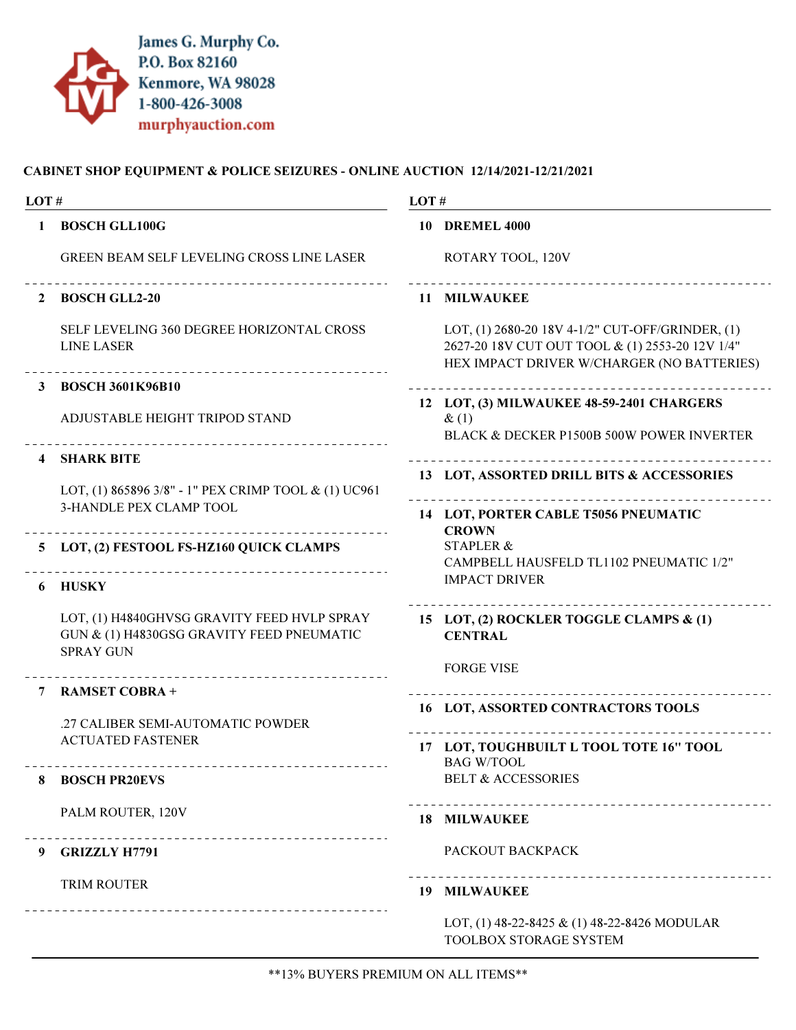

| LOT# |                                                                                                              | LOT# |                                                                                                                                                   |  |
|------|--------------------------------------------------------------------------------------------------------------|------|---------------------------------------------------------------------------------------------------------------------------------------------------|--|
| 1    | <b>BOSCH GLL100G</b>                                                                                         |      | <b>10 DREMEL 4000</b>                                                                                                                             |  |
|      | <b>GREEN BEAM SELF LEVELING CROSS LINE LASER</b>                                                             |      | ROTARY TOOL, 120V                                                                                                                                 |  |
| 2    | <b>BOSCH GLL2-20</b>                                                                                         |      | 11 MILWAUKEE                                                                                                                                      |  |
|      | SELF LEVELING 360 DEGREE HORIZONTAL CROSS<br><b>LINE LASER</b>                                               |      | LOT, (1) 2680-20 18V 4-1/2" CUT-OFF/GRINDER, (1)<br>2627-20 18V CUT OUT TOOL & (1) 2553-20 12V 1/4"<br>HEX IMPACT DRIVER W/CHARGER (NO BATTERIES) |  |
|      | <b>BOSCH 3601K96B10</b>                                                                                      |      |                                                                                                                                                   |  |
|      | ADJUSTABLE HEIGHT TRIPOD STAND                                                                               |      | 12 LOT, (3) MILWAUKEE 48-59-2401 CHARGERS<br>$\&(1)$<br>BLACK & DECKER P1500B 500W POWER INVERTER                                                 |  |
| 4    | <b>SHARK BITE</b>                                                                                            |      |                                                                                                                                                   |  |
|      | LOT, (1) 865896 3/8" - 1" PEX CRIMP TOOL & (1) UC961                                                         |      | 13 LOT, ASSORTED DRILL BITS & ACCESSORIES                                                                                                         |  |
|      | 3-HANDLE PEX CLAMP TOOL                                                                                      |      | 14 LOT, PORTER CABLE T5056 PNEUMATIC                                                                                                              |  |
|      |                                                                                                              |      | <b>CROWN</b>                                                                                                                                      |  |
| 5.   | LOT, (2) FESTOOL FS-HZ160 QUICK CLAMPS                                                                       |      | <b>STAPLER &amp;</b><br>CAMPBELL HAUSFELD TL1102 PNEUMATIC 1/2"                                                                                   |  |
| 6    | <b>HUSKY</b>                                                                                                 |      | <b>IMPACT DRIVER</b>                                                                                                                              |  |
|      | LOT, (1) H4840GHVSG GRAVITY FEED HVLP SPRAY<br>GUN & (1) H4830GSG GRAVITY FEED PNEUMATIC<br><b>SPRAY GUN</b> |      | 15 LOT, (2) ROCKLER TOGGLE CLAMPS & (1)<br><b>CENTRAL</b>                                                                                         |  |
|      | --------------------------                                                                                   |      | <b>FORGE VISE</b>                                                                                                                                 |  |
|      | <b>RAMSET COBRA +</b>                                                                                        |      |                                                                                                                                                   |  |
|      | .27 CALIBER SEMI-AUTOMATIC POWDER                                                                            |      | <b>16 LOT, ASSORTED CONTRACTORS TOOLS</b>                                                                                                         |  |
|      | <b>ACTUATED FASTENER</b>                                                                                     |      | 17 LOT, TOUGHBUILT L TOOL TOTE 16" TOOL                                                                                                           |  |
|      | ____________________________________                                                                         |      | <b>BAG W/TOOL</b>                                                                                                                                 |  |
| 8    | <b>BOSCH PR20EVS</b>                                                                                         |      | <b>BELT &amp; ACCESSORIES</b>                                                                                                                     |  |
|      | PALM ROUTER, 120V                                                                                            |      | <b>18 MILWAUKEE</b>                                                                                                                               |  |
| 9    | ______________________________<br><b>GRIZZLY H7791</b>                                                       |      | PACKOUT BACKPACK                                                                                                                                  |  |
|      | <b>TRIM ROUTER</b>                                                                                           |      | _________________________________<br><b>19 MILWAUKEE</b>                                                                                          |  |
|      | __________________________________                                                                           |      | LOT, (1) 48-22-8425 & (1) 48-22-8426 MODULAR<br>TOOLBOX STORAGE SYSTEM                                                                            |  |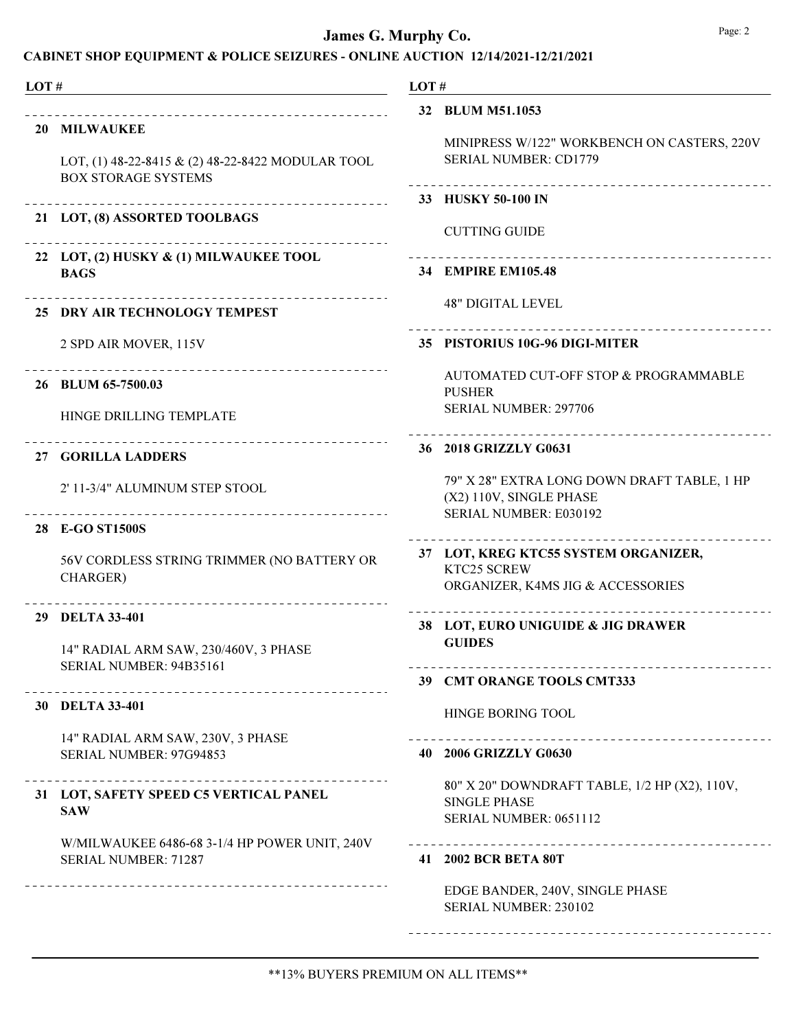| LOT# |                                                                                 | LOT# |                                                                                                |
|------|---------------------------------------------------------------------------------|------|------------------------------------------------------------------------------------------------|
|      |                                                                                 |      | 32 BLUM M51.1053                                                                               |
|      | 20 MILWAUKEE                                                                    |      | MINIPRESS W/122" WORKBENCH ON CASTERS, 220V                                                    |
|      | LOT, (1) 48-22-8415 & (2) 48-22-8422 MODULAR TOOL<br><b>BOX STORAGE SYSTEMS</b> |      | <b>SERIAL NUMBER: CD1779</b><br>________________________________                               |
|      |                                                                                 |      | 33 HUSKY 50-100 IN                                                                             |
|      | 21 LOT, (8) ASSORTED TOOLBAGS<br>___________________________________            |      | <b>CUTTING GUIDE</b>                                                                           |
|      | 22 LOT, (2) HUSKY & (1) MILWAUKEE TOOL<br><b>BAGS</b>                           |      | 34 EMPIRE EM105.48                                                                             |
|      | _____________________________________<br>25 DRY AIR TECHNOLOGY TEMPEST          |      | <b>48" DIGITAL LEVEL</b>                                                                       |
|      | 2 SPD AIR MOVER, 115V                                                           |      | 35 PISTORIUS 10G-96 DIGI-MITER                                                                 |
|      | 26 BLUM 65-7500.03                                                              |      | AUTOMATED CUT-OFF STOP & PROGRAMMABLE<br><b>PUSHER</b>                                         |
|      | HINGE DRILLING TEMPLATE                                                         |      | SERIAL NUMBER: 297706                                                                          |
|      | ______________________________<br><b>27 GORILLA LADDERS</b>                     |      | 36 2018 GRIZZLY G0631                                                                          |
|      | 2' 11-3/4" ALUMINUM STEP STOOL                                                  |      | 79" X 28" EXTRA LONG DOWN DRAFT TABLE, 1 HP<br>(X2) 110V, SINGLE PHASE                         |
|      | 28 E-GO ST1500S                                                                 |      | SERIAL NUMBER: E030192                                                                         |
|      | 56V CORDLESS STRING TRIMMER (NO BATTERY OR                                      |      | 37 LOT, KREG KTC55 SYSTEM ORGANIZER,<br>KTC25 SCREW                                            |
|      | CHARGER)<br>--------------------------------                                    |      | ORGANIZER, K4MS JIG & ACCESSORIES                                                              |
|      | 29 DELTA 33-401                                                                 |      | 38 LOT, EURO UNIGUIDE & JIG DRAWER                                                             |
|      | 14" RADIAL ARM SAW, 230/460V, 3 PHASE                                           |      | <b>GUIDES</b>                                                                                  |
|      | SERIAL NUMBER: 94B35161<br>_____________________________                        |      | 39 CMT ORANGE TOOLS CMT333                                                                     |
|      | 30 DELTA 33-401                                                                 |      | <b>HINGE BORING TOOL</b>                                                                       |
|      | 14" RADIAL ARM SAW, 230V, 3 PHASE<br>SERIAL NUMBER: 97G94853                    |      | 40 2006 GRIZZLY G0630                                                                          |
|      | 31 LOT, SAFETY SPEED C5 VERTICAL PANEL<br><b>SAW</b>                            |      | 80" X 20" DOWNDRAFT TABLE, 1/2 HP (X2), 110V,<br><b>SINGLE PHASE</b><br>SERIAL NUMBER: 0651112 |
|      | W/MILWAUKEE 6486-68 3-1/4 HP POWER UNIT, 240V<br>SERIAL NUMBER: 71287           |      | _________________________________<br>41 2002 BCR BETA 80T                                      |
|      | ------------------------------------                                            |      |                                                                                                |
|      |                                                                                 |      | EDGE BANDER, 240V, SINGLE PHASE<br>SERIAL NUMBER: 230102                                       |
|      |                                                                                 |      |                                                                                                |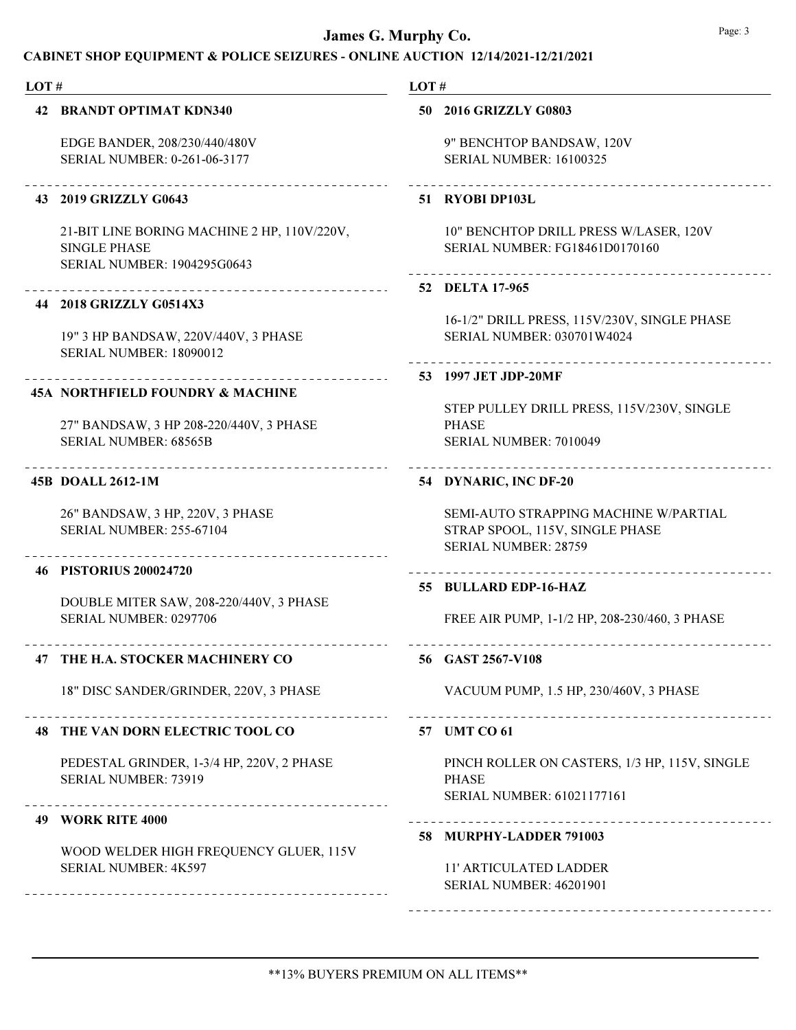#### CABINET SHOP EQUIPMENT & POLICE SEIZURES - ONLINE AUCTION 12/14/2021-12/21/2021

| LOT# |                                                                                                             | LOT#                                                                                                    |  |
|------|-------------------------------------------------------------------------------------------------------------|---------------------------------------------------------------------------------------------------------|--|
|      | 42 BRANDT OPTIMAT KDN340                                                                                    | 50 2016 GRIZZLY G0803                                                                                   |  |
|      | EDGE BANDER, 208/230/440/480V<br>SERIAL NUMBER: 0-261-06-3177                                               | 9" BENCHTOP BANDSAW, 120V<br><b>SERIAL NUMBER: 16100325</b>                                             |  |
|      | 43 2019 GRIZZLY G0643                                                                                       | 51 RYOBI DP103L                                                                                         |  |
|      | 21-BIT LINE BORING MACHINE 2 HP, 110V/220V,<br><b>SINGLE PHASE</b><br><b>SERIAL NUMBER: 1904295G0643</b>    | 10" BENCHTOP DRILL PRESS W/LASER, 120V<br>SERIAL NUMBER: FG18461D0170160                                |  |
|      | 44 2018 GRIZZLY G0514X3                                                                                     | 52 DELTA 17-965                                                                                         |  |
|      | 19" 3 HP BANDSAW, 220V/440V, 3 PHASE<br><b>SERIAL NUMBER: 18090012</b>                                      | 16-1/2" DRILL PRESS, 115V/230V, SINGLE PHASE<br>SERIAL NUMBER: 030701W4024                              |  |
|      |                                                                                                             | 53 1997 JET JDP-20MF                                                                                    |  |
|      | 45A NORTHFIELD FOUNDRY & MACHINE<br>27" BANDSAW, 3 HP 208-220/440V, 3 PHASE<br><b>SERIAL NUMBER: 68565B</b> | STEP PULLEY DRILL PRESS, 115V/230V, SINGLE<br><b>PHASE</b><br>SERIAL NUMBER: 7010049                    |  |
|      | 45B DOALL 2612-1M                                                                                           | .<br>54 DYNARIC, INC DF-20                                                                              |  |
|      | 26" BANDSAW, 3 HP, 220V, 3 PHASE<br><b>SERIAL NUMBER: 255-67104</b>                                         | SEMI-AUTO STRAPPING MACHINE W/PARTIAL<br>STRAP SPOOL, 115V, SINGLE PHASE<br><b>SERIAL NUMBER: 28759</b> |  |
|      | 46 PISTORIUS 200024720                                                                                      |                                                                                                         |  |
|      | DOUBLE MITER SAW, 208-220/440V, 3 PHASE<br>SERIAL NUMBER: 0297706                                           | 55 BULLARD EDP-16-HAZ<br>FREE AIR PUMP, 1-1/2 HP, 208-230/460, 3 PHASE                                  |  |
|      | 47 THE H.A. STOCKER MACHINERY CO                                                                            | 56 GAST 2567-V108                                                                                       |  |
|      | 18" DISC SANDER/GRINDER, 220V, 3 PHASE                                                                      | VACUUM PUMP, 1.5 HP, 230/460V, 3 PHASE                                                                  |  |
|      | _ _ _ _ _ _ _ _ _ _ _ _ _ _<br>48 THE VAN DORN ELECTRIC TOOL CO                                             | 57 UMT CO 61                                                                                            |  |
|      | PEDESTAL GRINDER, 1-3/4 HP, 220V, 2 PHASE<br>SERIAL NUMBER: 73919                                           | PINCH ROLLER ON CASTERS, 1/3 HP, 115V, SINGLE<br><b>PHASE</b><br>SERIAL NUMBER: 61021177161             |  |
|      | <b>49 WORK RITE 4000</b>                                                                                    |                                                                                                         |  |
|      | WOOD WELDER HIGH FREQUENCY GLUER, 115V<br>SERIAL NUMBER: 4K597                                              | 58 MURPHY-LADDER 791003<br><b>11' ARTICULATED LADDER</b><br>SERIAL NUMBER: 46201901                     |  |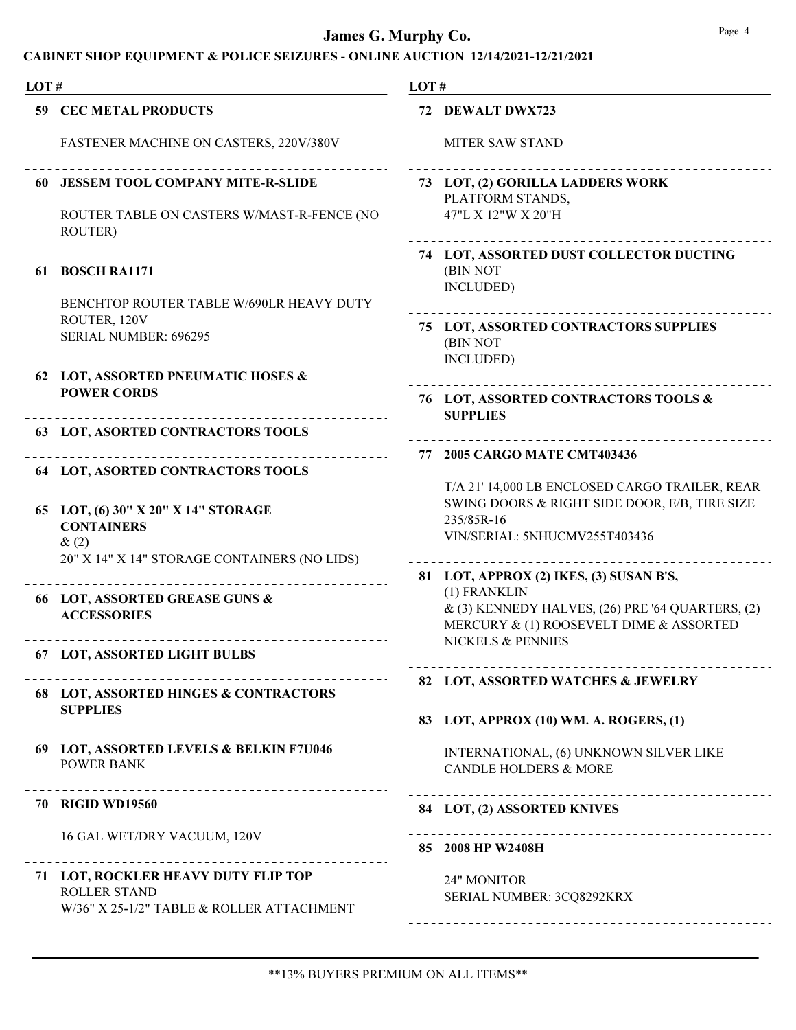| LOT# |                                                                     | LOT# |                                                                                                 |
|------|---------------------------------------------------------------------|------|-------------------------------------------------------------------------------------------------|
|      | <b>59 CEC METAL PRODUCTS</b>                                        |      | 72 DEWALT DWX723                                                                                |
|      | FASTENER MACHINE ON CASTERS, 220V/380V                              |      | <b>MITER SAW STAND</b>                                                                          |
|      | 60 JESSEM TOOL COMPANY MITE-R-SLIDE                                 |      | 73 LOT, (2) GORILLA LADDERS WORK<br>PLATFORM STANDS,                                            |
|      | ROUTER TABLE ON CASTERS W/MAST-R-FENCE (NO<br>ROUTER)               |      | 47"L X 12"W X 20"H                                                                              |
|      | 61 BOSCH RA1171                                                     |      | 74 LOT, ASSORTED DUST COLLECTOR DUCTING<br>(BIN NOT<br>INCLUDED)                                |
|      | BENCHTOP ROUTER TABLE W/690LR HEAVY DUTY                            |      |                                                                                                 |
|      | ROUTER, 120V<br>SERIAL NUMBER: 696295                               |      | 75 LOT, ASSORTED CONTRACTORS SUPPLIES<br>(BIN NOT                                               |
|      | 62 LOT, ASSORTED PNEUMATIC HOSES &                                  |      | INCLUDED)                                                                                       |
|      | <b>POWER CORDS</b>                                                  |      | 76 LOT, ASSORTED CONTRACTORS TOOLS &<br><b>SUPPLIES</b>                                         |
|      | <b>63 LOT, ASORTED CONTRACTORS TOOLS</b>                            |      |                                                                                                 |
|      | <b>64 LOT, ASORTED CONTRACTORS TOOLS</b>                            |      | 77 2005 CARGO MATE CMT403436                                                                    |
|      |                                                                     |      | T/A 21' 14,000 LB ENCLOSED CARGO TRAILER, REAR<br>SWING DOORS & RIGHT SIDE DOOR, E/B, TIRE SIZE |
|      | 65 LOT, (6) 30" X 20" X 14" STORAGE<br><b>CONTAINERS</b><br>$\&(2)$ |      | 235/85R-16<br>VIN/SERIAL: 5NHUCMV255T403436                                                     |
|      | 20" X 14" X 14" STORAGE CONTAINERS (NO LIDS)                        |      |                                                                                                 |
|      | 66 LOT, ASSORTED GREASE GUNS &                                      |      | 81 LOT, APPROX (2) IKES, (3) SUSAN B'S,<br>(1) FRANKLIN                                         |
|      | <b>ACCESSORIES</b>                                                  |      | $\&$ (3) KENNEDY HALVES, (26) PRE '64 QUARTERS, (2)<br>MERCURY & (1) ROOSEVELT DIME & ASSORTED  |
|      | 67 LOT, ASSORTED LIGHT BULBS                                        |      | NICKELS & PENNIES                                                                               |
|      | 68 LOT, ASSORTED HINGES & CONTRACTORS                               |      | 82 LOT, ASSORTED WATCHES & JEWELRY                                                              |
|      | <b>SUPPLIES</b>                                                     |      | 83 LOT, APPROX (10) WM. A. ROGERS, (1)                                                          |
|      | 69 LOT, ASSORTED LEVELS & BELKIN F7U046                             |      | INTERNATIONAL, (6) UNKNOWN SILVER LIKE                                                          |
|      | <b>POWER BANK</b>                                                   |      | <b>CANDLE HOLDERS &amp; MORE</b>                                                                |
|      | <b>70 RIGID WD19560</b>                                             |      | 84 LOT, (2) ASSORTED KNIVES                                                                     |
|      | 16 GAL WET/DRY VACUUM, 120V                                         |      | ______________________________<br>85 2008 HP W2408H                                             |
|      | 71 LOT, ROCKLER HEAVY DUTY FLIP TOP                                 |      | 24" MONITOR                                                                                     |
|      | <b>ROLLER STAND</b><br>W/36" X 25-1/2" TABLE & ROLLER ATTACHMENT    |      | SERIAL NUMBER: 3CQ8292KRX                                                                       |
|      |                                                                     |      |                                                                                                 |